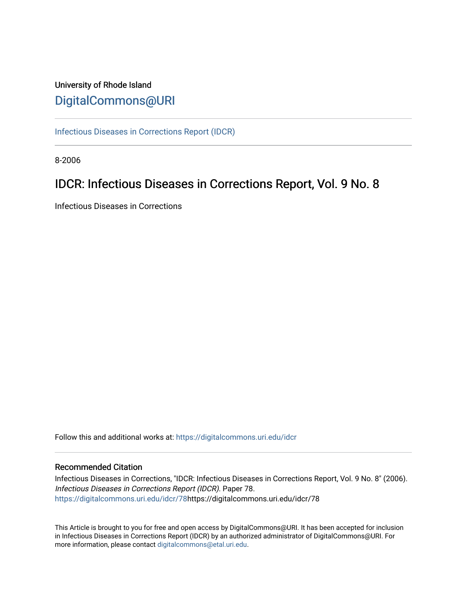# University of Rhode Island [DigitalCommons@URI](https://digitalcommons.uri.edu/)

[Infectious Diseases in Corrections Report \(IDCR\)](https://digitalcommons.uri.edu/idcr)

8-2006

# IDCR: Infectious Diseases in Corrections Report, Vol. 9 No. 8

Infectious Diseases in Corrections

Follow this and additional works at: [https://digitalcommons.uri.edu/idcr](https://digitalcommons.uri.edu/idcr?utm_source=digitalcommons.uri.edu%2Fidcr%2F78&utm_medium=PDF&utm_campaign=PDFCoverPages)

# Recommended Citation

Infectious Diseases in Corrections, "IDCR: Infectious Diseases in Corrections Report, Vol. 9 No. 8" (2006). Infectious Diseases in Corrections Report (IDCR). Paper 78. [https://digitalcommons.uri.edu/idcr/78h](https://digitalcommons.uri.edu/idcr/78?utm_source=digitalcommons.uri.edu%2Fidcr%2F78&utm_medium=PDF&utm_campaign=PDFCoverPages)ttps://digitalcommons.uri.edu/idcr/78

This Article is brought to you for free and open access by DigitalCommons@URI. It has been accepted for inclusion in Infectious Diseases in Corrections Report (IDCR) by an authorized administrator of DigitalCommons@URI. For more information, please contact [digitalcommons@etal.uri.edu.](mailto:digitalcommons@etal.uri.edu)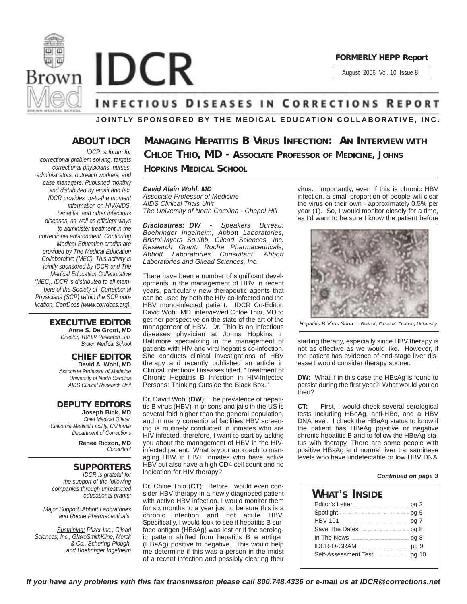



August 2006 Vol. 10, Issue 8

# **INFECTIOUS DISEASES IN CORRECTIONS REPORT**

**JOINTLY SPONSORED BY THE MEDICAL EDUCATION COLLABORATIVE, INC.**

# **ABOUT IDCR**

*IDCR, a forum for correctional problem solving, targets correctional physicians, nurses, administrators, outreach workers, and case managers. Published monthly and distributed by email and fax, IDCR provides up-to-the moment information on HIV/AIDS, hepatitis, and other infectious diseases, as well as efficient ways to administer treatment in the correctional environment. Continuing Medical Education credits are provided by The Medical Education Collaborative (MEC). This activity is jointly sponsored by IDCR and The Medical Education Collaborative (MEC). IDCR is distributed to all members of the Society of Correctional Physicians (SCP) within the SCP publication, CorrDocs (www.corrdocs.org).*

## **EXECUTIVE EDITOR**

**Anne S. De Groot, MD** *Director, TB/HIV Research Lab, Brown Medical School*

### **CHIEF EDITOR David A. Wohl, MD** *Associate Professor of Medicine*

*University of North Carolina AIDS Clinical Research Unit*

### **DEPUTY EDITORS Joseph Bick, MD** *Chief Medical Officer,*

*California Medical Facility, California Department of Corrections*

> **Renee Ridzon, MD** *Consultant*

# **SUPPORTERS**

*IDCR is grateful for the support of the following companies through unrestricted educational grants:*

*Major Support: Abbott Laboratories and Roche Pharmaceuticals.* 

*Sustaining: Pfizer Inc., Gilead Sciences, Inc., GlaxoSmithKline, Merck & Co., Schering-Plough, and Boehringer Ingelheim*

**MANAGING HEPATITIS B VIRUS INFECTION: AN INTERVIEW WITH CHLOE THIO, MD - ASSOCIATE PROFESSOR OF MEDICINE, JOHNS HOPKINS MEDICAL SCHOOL**

## *David Alain Wohl, MD*

*Associate Professor of Medicine AIDS Clinical Trials Unit The University of North Carolina - Chapel Hill*

*Disclosures: DW - Speakers Bureau: Boehringer Ingelheim, Abbott Laboratories, Bristol-Myers Squibb, Gilead Sciences, Inc. Research Grant: Roche Pharmaceuticals, Abbott Laboratories Consultant: Abbott Laboratories and Gilead Sciences, Inc.*

There have been a number of significant developments in the management of HBV in recent years, particularly new therapeutic agents that can be used by both the HIV co-infected and the HBV mono-infected patient. IDCR Co-Editor, David Wohl, MD, interviewed Chloe Thio, MD to get her perspective on the state of the art of the management of HBV. Dr. Thio is an infectious diseases physician at Johns Hopkins in Baltimore specializing in the management of patients with HIV and viral hepatitis co-infection. She conducts clinical investigations of HBV therapy and recently published an article in Clinical Infectious Diseases titled, "Treatment of Chronic Hepatitis B Infection in HIV-Infected Persons: Thinking Outside the Black Box."

Dr. David Wohl (**DW**): The prevalence of hepatitis B virus (HBV) in prisons and jails in the US is several fold higher than the general population, and in many correctional facilities HBV screening is routinely conducted in inmates who are HIV-infected, therefore, I want to start by asking you about the management of HBV in the HIVinfected patient. What is your approach to managing HBV in HIV+ inmates who have active HBV but also have a high CD4 cell count and no indication for HIV therapy?

Dr. Chloe Thio (**CT**): Before I would even consider HBV therapy in a newly diagnosed patient with active HBV infection, I would monitor them for six months to a year just to be sure this is a chronic infection and not acute HBV. Specifically, I would look to see if hepatitis B surface antigen (HBsAg) was lost or if the serologic pattern shifted from hepatitis B e antigen (HBeAg) positive to negative. This would help me determine if this was a person in the midst of a recent infection and possibly clearing their

virus. Importantly, even if this is chronic HBV infection, a small proportion of people will clear the virus on their own - approximately 0.5% per year (1). So, I would monitor closely for a time, as I'd want to be sure I know the patient before



*Hepatitis B Virus Source: Barth K, Frese M. Freiburg University*

starting therapy, especially since HBV therapy is not as effective as we would like. However, if the patient has evidence of end-stage liver disease I would consider therapy sooner.

**DW:** What if in this case the HBsAg is found to persist during the first year? What would you do then?

**CT:** First, I would check several serological tests including HBeAg, anti-HBe, and a HBV DNA level. I check the HBeAg status to know if the patient has HBeAg positive or negative chronic hepatitis B and to follow the HBeAg status with therapy. There are some people with positive HBsAg and normal liver transaminase levels who have undetectable or low HBV DNA

## *Continued on page 3*

| What's Inside                    |  |  |  |  |  |
|----------------------------------|--|--|--|--|--|
|                                  |  |  |  |  |  |
| Spotlight manufacturers and pg 5 |  |  |  |  |  |
|                                  |  |  |  |  |  |
|                                  |  |  |  |  |  |
|                                  |  |  |  |  |  |
|                                  |  |  |  |  |  |
|                                  |  |  |  |  |  |

*If you have any problems with this fax transmission please call 800.748.4336 or e-mail us at IDCR@corrections.net*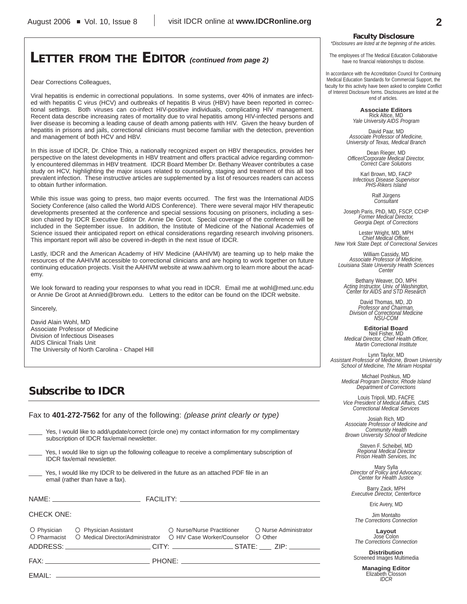# **LETTER FROM THE EDITOR** *(continued from page 2)*

Dear Corrections Colleagues,

Viral hepatitis is endemic in correctional populations. In some systems, over 40% of inmates are infected with hepatitis C virus (HCV) and outbreaks of hepatitis B virus (HBV) have been reported in correctional settings. Both viruses can co-infect HIV-positive individuals, complicating HIV management. Recent data describe increasing rates of mortality due to viral hepatitis among HIV-infected persons and liver disease is becoming a leading cause of death among patients with HIV. Given the heavy burden of hepatitis in prisons and jails, correctional clinicians must become familiar with the detection, prevention and management of both HCV and HBV.

In this issue of IDCR, Dr. Chloe Thio, a nationally recognized expert on HBV therapeutics, provides her perspective on the latest developments in HBV treatment and offers practical advice regarding commonly encountered dilemmas in HBV treatment. IDCR Board Member Dr. Bethany Weaver contributes a case study on HCV, highlighting the major issues related to counseling, staging and treatment of this all too prevalent infection. These instructive articles are supplemented by a list of resources readers can access to obtain further information.

While this issue was going to press, two major events occurred. The first was the International AIDS Society Conference (also called the World AIDS Conference). There were several major HIV therapeutic developments presented at the conference and special sessions focusing on prisoners, including a session chaired by IDCR Executive Editor Dr. Annie De Groot. Special coverage of the conference will be included in the September issue. In addition, the Institute of Medicine of the National Academies of Science issued their anticipated report on ethical considerations regarding research involving prisoners. This important report will also be covered in-depth in the next issue of IDCR.

Lastly, IDCR and the American Academy of HIV Medicine (AAHIVM) are teaming up to help make the resources of the AAHIVM accessible to correctional clinicians and are hoping to work together on future continuing education projects. Visit the AAHIVM website at www.aahivm.org to learn more about the academy.

We look forward to reading your responses to what you read in IDCR. Email me at wohl@med.unc.edu or Annie De Groot at Annied@brown.edu. Letters to the editor can be found on the IDCR website.

**Sincerely** 

David Alain Wohl, MD Associate Professor of Medicine Division of Infectious Diseases AIDS Clinical Trials Unit The University of North Carolina - Chapel Hill

# **Subscribe to IDCR**

Fax to **401-272-7562** for any of the following: *(please print clearly or type)*

| Yes, I would like to add/update/correct (circle one) my contact information for my complimentary |  |
|--------------------------------------------------------------------------------------------------|--|
| subscription of IDCR fax/email newsletter.                                                       |  |

|                            | Yes, I would like to sign up the following colleague to receive a complimentary subscription of |
|----------------------------|-------------------------------------------------------------------------------------------------|
| IDCR fax/email newsletter. |                                                                                                 |

Yes, I would like my IDCR to be delivered in the future as an attached PDF file in an email (rather than have a fax).

| <b>CHECK ONE:</b> |                                                                                                                                                                                                                                                                                                                                                                                                                  |  |
|-------------------|------------------------------------------------------------------------------------------------------------------------------------------------------------------------------------------------------------------------------------------------------------------------------------------------------------------------------------------------------------------------------------------------------------------|--|
|                   | O Physician O Physician Assistant O Nurse/Nurse Practitioner O Nurse Administrator<br>○ Pharmacist ○ Medical Director/Administrator ○ HIV Case Worker/Counselor ○ Other<br>ADDRESS:_________________________CITY: ___________________STATE: _____ZIP: __________                                                                                                                                                 |  |
|                   | $\mathsf{FAX:}\hspace{-.05in} \_\hspace{-.05in} \_\hspace{-.05in} \_\hspace{-.05in} \_\hspace{-.05in} \_\hspace{-.05in} \_\hspace{-.05in} \_\hspace{-.05in} \_\hspace{-.05in} \_\hspace{-.05in} \_\hspace{-.05in} \_\hspace{-.05in} \_\hspace{-.05in} \_\hspace{-.05in} \_\hspace{-.05in} \_\hspace{-.05in} \_\hspace{-.05in} \_\hspace{-.05in} \_\hspace{-.05in} \_\hspace{-.05in} \_\hspace{-.05in} \_\hspace$ |  |
|                   |                                                                                                                                                                                                                                                                                                                                                                                                                  |  |

### **Faculty Disclosure**

*\*Disclosures are listed at the beginning of the articles.*

The employees of The Medical Education Collaborative have no financial relationships to disclose.

In accordance with the Accreditation Council for Continuing Medical Education Standards for Commercial Support, the faculty for this activity have been asked to complete Conflict of Interest Disclosure forms. Disclosures are listed at the end of articles.

> **Associate Editors** Rick Altice, MD *Yale University AIDS Program*

David Paar, MD *Associate Professor of Medicine, University of Texas, Medical Branch*

Dean Rieger, MD *Officer/Corporate Medical Director, Correct Care Solutions*

Karl Brown, MD, FACP *Infectious Disease Supervisor PHS-Rikers Island*

Ralf Jürgens *Consultant*

Joseph Paris, PhD, MD, FSCP, CCHP *Former Medical Director, Georgia Dept. of Corrections*

Lester Wright, MD, MPH *Chief Medical Officer, New York State Dept. of Correctional Services*

William Cassidy, MD *Associate Professor of Medicine, Louisiana State University Health Sciences Center*

Bethany Weaver, DO, MPH *Acting Instructor, Univ. of Washington, Center for AIDS and STD Research*

David Thomas, MD, JD *Professor and Chairman, Division of Correctional Medicine NSU-COM*

**Editorial Board** Neil Fisher, MD *Medical Director, Chief Health Officer, Martin Correctional Institute*

Lynn Taylor, MD *Assistant Professor of Medicine, Brown University School of Medicine, The Miriam Hospital*

Michael Poshkus, MD *Medical Program Director, Rhode Island Department of Corrections*

Louis Tripoli, MD, FACFE *Vice President of Medical Affairs, CMS Correctional Medical Services*

Josiah Rich, MD *Associate Professor of Medicine and Community Health Brown University School of Medicine*

> Steven F. Scheibel, MD *Regional Medical Director Prison Health Services, Inc*

Mary Sylla *Director of Policy and Advocacy, Center for Health Justice*

Barry Zack, MPH *Executive Director, Centerforce*

Eric Avery, MD

Jim Montalto *The Corrections Connection*

**Layout** Jose Colon *The Corrections Connection*

**Distribution** Screened Images Multimedia

> **Managing Editor** Elizabeth Closson *IDCR*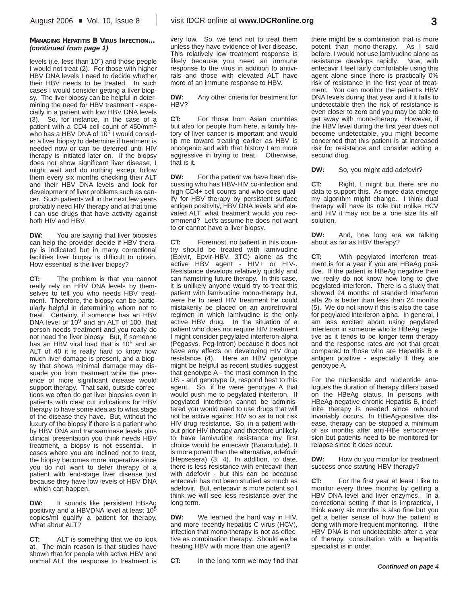### **MANAGING HEPATITIS B VIRUS INFECTION...** *(continued from page 1)*

levels (i.e. less than 104) and those people I would not treat (2). For those with higher HBV DNA levels I need to decide whether their HBV needs to be treated. In such cases I would consider getting a liver biopsy. The liver biopsy can be helpful in determining the need for HBV treatment - especially in a patient with low HBV DNA levels (3). So, for instance, in the case of a patient with a CD4 cell count of 450/mm3 who has a HBV DNA of 10<sup>5</sup> I would consider a liver biopsy to determine if treatment is needed now or can be deferred until HIV therapy is initiated later on. If the biopsy does not show significant liver disease, I might wait and do nothing except follow them every six months checking their ALT and their HBV DNA levels and look for development of liver problems such as cancer. Such patients will in the next few years probably need HIV therapy and at that time I can use drugs that have activity against both HIV and HBV.

**DW:** You are saying that liver biopsies can help the provider decide if HBV therapy is indicated but in many correctional facilities liver biopsy is difficult to obtain. How essential is the liver biopsy?

**CT:** The problem is that you cannot really rely on HBV DNA levels by themselves to tell you who needs HBV treatment. Therefore, the biopsy can be particularly helpful in determining whom not to treat. Certainly, if someone has an HBV DNA level of 10<sup>9</sup> and an ALT of 100, that person needs treatment and you really do not need the liver biopsy. But, if someone has an HBV viral load that is 10<sup>5</sup> and an ALT of 40 it is really hard to know how much liver damage is present, and a biopsy that shows minimal damage may dissuade you from treatment while the presence of more significant disease would support therapy. That said, outside corrections we often do get liver biopsies even in patients with clear cut indications for HBV therapy to have some idea as to what stage of the disease they have. But, without the luxury of the biopsy if there is a patient who by HBV DNA and transaminase levels plus clinical presentation you think needs HBV treatment, a biopsy is not essential. In cases where you are inclined not to treat, the biopsy becomes more imperative since you do not want to defer therapy of a patient with end-stage liver disease just because they have low levels of HBV DNA - which can happen.

**DW:** It sounds like persistent HBsAg positivity and a HBVDNA level at least 105 copies/ml qualify a patient for therapy. What about ALT?

**CT:** ALT is something that we do look at. The main reason is that studies have shown that for people with active HBV and normal ALT the response to treatment is

very low. So, we tend not to treat them unless they have evidence of liver disease. This relatively low treatment response is likely because you need an immune response to the virus in addition to antivirals and those with elevated ALT have more of an immune response to HBV.

**DW:** Any other criteria for treatment for HBV?

**CT:** For those from Asian countries but also for people from here, a family history of liver cancer is important and would tip me toward treating earlier as HBV is oncogenic and with that history I am more aggressive in trying to treat. Otherwise, that is it.

**DW:** For the patient we have been discussing who has HBV-HIV co-infection and high CD4+ cell counts and who does qualify for HBV therapy by persistent surface antigen positivity, HBV DNA levels and elevated ALT, what treatment would you recommend? Let's assume he does not want to or cannot have a liver biopsy.

**CT:** Foremost, no patient in this country should be treated with lamivudine (Epivir, Epvir-HBV, 3TC) alone as the active HBV agent - HIV+ or HIV-. Resistance develops relatively quickly and can hamstring future therapy. In this case, it is unlikely anyone would try to treat this patient with lamivudine mono-therapy but, were he to need HIV treatment he could mistakenly be placed on an antiretroviral regimen in which lamivudine is the only active HBV drug. In the situation of a patient who does not require HIV treatment I might consider pegylated interferon-alpha (Pegasys, Peg-Intron) because it does not have any effects on developing HIV drug resistance (4). Here an HBV genotype might be helpful as recent studies suggest that genotype A - the most common in the US - and genotype D, respond best to this agent. So, if he were genotype A that would push me to pegylated interferon. If pegylated interferon cannot be administered you would need to use drugs that will not be active against HIV so as to not risk HIV drug resistance. So, in a patient without prior HIV therapy and therefore unlikely to have lamivudine resistance my first choice would be entecavir (Baraculude). It is more potent than the alternative, adefovir (Hepsesera) (3, 4). In addition, to date, there is less resistance with entecavir than with adefovir - but this can be because entecavir has not been studied as much as adefovir. But, entecavir is more potent so I think we will see less resistance over the long term.

**DW:** We learned the hard way in HIV, and more recently hepatitis C virus (HCV), infection that mono-therapy is not as effective as combination therapy. Should we be treating HBV with more than one agent?

**CT:** In the long term we may find that

there might be a combination that is more potent than mono-therapy. As I said before, I would not use lamivudine alone as resistance develops rapidly. Now, with entecavir I feel fairly comfortable using this agent alone since there is practically 0% risk of resistance in the first year of treatment. You can monitor the patient's HBV DNA levels during that year and if it falls to undetectable then the risk of resistance is even closer to zero and you may be able to get away with mono-therapy. However, if the HBV level during the first year does not become undetectable, you might become concerned that this patient is at increased risk for resistance and consider adding a second drug.

**DW:** So, you might add adefovir?

**CT:** Right, I might but there are no data to support this. As more data emerge my algorithm might change. I think dual therapy will have its role but unlike HCV and HIV it may not be a 'one size fits all' solution.

**DW:** And, how long are we talking about as far as HBV therapy?

**CT:** With pegylated interferon treatment is for a year if you are HBeAg positive. If the patient is HBeAg negative then we really do not know how long to give pegylated interferon. There is a study that showed 24 months of standard interferon alfa 2b is better than less than 24 months (5). We do not know if this is also the case for pegylated interferon alpha. In general, I am less excited about using pegylated interferon in someone who is HBeAg negative as it tends to be longer term therapy and the response rates are not that great compared to those who are Hepatitis B e antigen positive - especially if they are genotype A.

For the nucleoside and nucleotide analogues the duration of therapy differs based on the HBeAg status. In persons with HBeAg-negative chronic Hepatitis B, indefinite therapy is needed since rebound invariably occurs. In HBeAg-positive disease, therapy can be stopped a minimum of six months after anti-HBe seroconversion but patients need to be monitored for relapse since it does occur.

**DW:** How do you monitor for treatment success once starting HBV therapy?

**CT:** For the first year at least I like to monitor every three months by getting a HBV DNA level and liver enzymes. In a correctional setting if that is impractical, I think every six months is also fine but you get a better sense of how the patient is doing with more frequent monitoring. If the HBV DNA is not undetectable after a year of therapy, consultation with a hepatitis specialist is in order.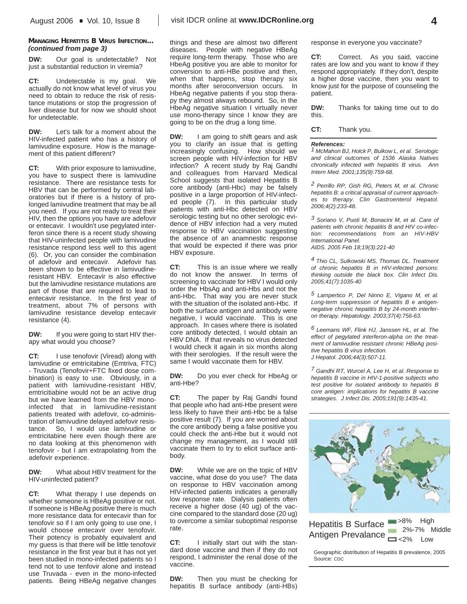## **MANAGING HEPATITIS B VIRUS INFECTION...** *(continued from page 3)*

**DW:** Our goal is undetectable? Not just a substantial reduction in viremia?

**CT:** Undetectable is my goal. We actually do not know what level of virus you need to obtain to reduce the risk of resistance mutations or stop the progression of liver disease but for now we should shoot for undetectable.

**DW:** Let's talk for a moment about the HIV-infected patient who has a history of lamivudine exposure. How is the management of this patient different?

**CT:** With prior exposure to lamivudine, you have to suspect there is lamivudine resistance. There are resistance tests for HBV that can be performed by central laboratories but if there is a history of prolonged lamivudine treatment that may be all you need. If you are not ready to treat their HIV, then the options you have are adefovir or entecavir. I wouldn't use pegylated interferon since there is a recent study showing that HIV-uninfected people with lamivudine resistance respond less well to this agent (6). Or, you can consider the combination of adefovir and entecavir. Adefovir has been shown to be effective in lamivudineresistant HBV. Entecavir is also effective but the lamivudine resistance mutations are part of those that are required to lead to entecavir resistance. In the first year of treatment, about 7% of persons with lamivudine resistance develop entecavir resistance (4).

**DW:** If you were going to start HIV therapy what would you choose?

**CT:** I use tenofovir (Viread) along with lamivudine or emtricitabine (Emtriva, FTC) - Truvada (Tenofovir+FTC fixed dose combination) is easy to use. Obviously, in a patient with lamivudine-resistant HBV, emtricitiabine would not be an active drug but we have learned from the HBV monoinfected that in lamivudine-resistant patients treated with adefovir, co-administration of lamivudine delayed adefovir resistance. So, I would use lamivudine or emtricitabine here even though there are no data looking at this phenomenon with tenofovir - but I am extrapolating from the adefovir experience.

**DW:** What about HBV treatment for the HIV-uninfected patient?

**CT:** What therapy I use depends on whether someone is HBeAg positive or not. If someone is HBeAg positive there is much more resistance data for entecavir than for tenofovir so if I am only going to use one, I would choose entecavir over tenofovir. Their potency is probably equivalent and my guess is that there will be little tenofovir resistance in the first year but it has not yet been studied in mono-infected patients so I tend not to use tenfovir alone and instead use Truvada - even in the mono-infected patients. Being HBeAg negative changes

things and these are almost two different diseases. People with negative HBeAg require long-term therapy. Those who are HbeAg positive you are able to monitor for conversion to anti-HBe positive and then, when that happens, stop therapy six months after seroconversion occurs. In HbeAg negative patients if you stop therapy they almost always rebound. So, in the HbeAg negative situation I virtually never use mono-therapy since I know they are going to be on the drug a long time.

**DW:** I am going to shift gears and ask you to clarify an issue that is getting increasingly confusing. How should we screen people with HIV-infection for HBV infection? A recent study by Raj Gandhi and colleagues from Harvard Medical School suggests that isolated Hepatitis B core antibody (anti-Hbc) may be falsely positive in a large proportion of HIV-infected people (7). In this particular study patients with anti-Hbc detected on HBV serologic testing but no other serologic evidence of HBV infection had a very muted response to HBV vaccination suggesting the absence of an anamnestic response that would be expected if there was prior HBV exposure.

**CT:** This is an issue where we really do not know the answer. In terms of screening to vaccinate for HBV I would only order the HbsAg and anti-Hbs and not the anti-Hbc. That way you are never stuck with the situation of the isolated anti-Hbc. If both the surface antigen and antibody were negative, I would vaccinate. This is one approach. In cases where there is isolated core antibody detected, I would obtain an HBV DNA. If that reveals no virus detected I would check it again in six months along with their serologies. If the result were the same I would vaccinate them for HBV.

**DW:** Do you ever check for HbeAg or anti-Hbe?

**CT:** The paper by Raj Gandhi found that people who had anti-Hbe present were less likely to have their anti-Hbc be a false positive result (7). If you are worried about the core antibody being a false positive you could check the anti-Hbe but it would not change my management, as I would still vaccinate them to try to elicit surface antibody.

**DW:** While we are on the topic of HBV vaccine, what dose do you use? The data on response to HBV vaccination among HIV-infected patients indicates a generally low response rate. Dialysis patients often receive a higher dose (40 ug) of the vaccine compared to the standard dose (20 ug) to overcome a similar suboptimal response rate.

**CT:** I initially start out with the standard dose vaccine and then if they do not respond, I administer the renal dose of the vaccine.

**DW:** Then you must be checking for hepatitis B surface antibody (anti-HBs) response in everyone you vaccinate?

**CT:** Correct. As you said, vaccine rates are low and you want to know if they respond appropriately. If they don't, despite a higher dose vaccine, then you want to know just for the purpose of counseling the patient.

**DW:** Thanks for taking time out to do this.

**CT:** Thank you.

#### *References:*

*1 McMahon BJ, Holck P, Bulkow L, et al. Serologic and clinical outcomes of 1536 Alaska Natives chronically infected with hepatitis B virus. Ann Intern Med. 2001;135(9):759-68.*

*2 Perrillo RP, Gish RG, Peters M, et al. Chronic hepatitis B: a critical appraisal of current approaches to therapy. Clin Gastroenterol Hepatol. 2006;4(2):233-48.*

*3 Soriano V, Puoti M, Bonacini M, et al. Care of patients with chronic hepatitis B and HIV co-infection: recommendations from an HIV-HBV International Panel. AIDS. 2005 Feb 18;19(3):221-40*

*4 Thio CL, Sulkowski MS, Thomas DL. Treatment of chronic hepatitis B in HIV-infected persons: thinking outside the black box. Clin Infect Dis. 2005;41(7):1035-40*

*5 Lampertico P, Del Ninno E, Vigano M, et al. Long-term suppression of hepatitis B e antigennegative chronic hepatitis B by 24-month interferon therapy. Hepatology. 2003;37(4):756-63.* 

*6 Leemans WF, Flink HJ, Janssen HL, et al. The effect of pegylated interferon-alpha on the treatment of lamivudine resistant chronic HBeAg positive hepatitis B virus infection. J Hepatol. 2006;44(3):507-11.*

*7 Gandhi RT, Wurcel A, Lee H, et al. Response to hepatitis B vaccine in HIV-1-positive subjects who test positive for isolated antibody to hepatitis B core antigen: implications for hepatitis B vaccine strategies. J Infect Dis. 2005;191(9):1435-41.*

Hepatitis B Surface **P**<sup>>8%</sup> High Antigen Prevalance  $\sum_{z=2\%}^{z=2\%}$  Low 2%-7% Middle

Geographic distribution of Hepatitis B prevalence, 2005 Source: CDC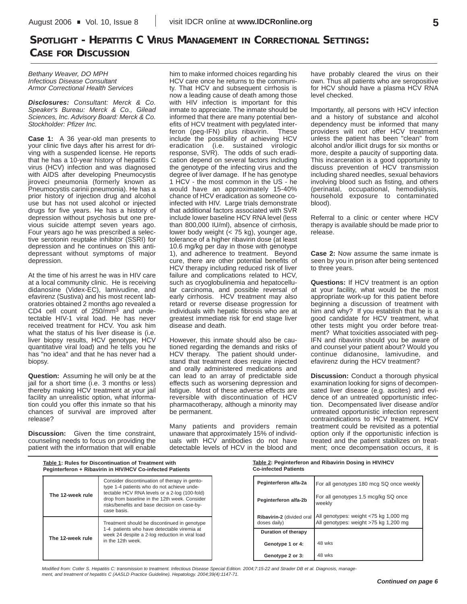# **SPOTLIGHT - HEPATITIS C VIRUS MANAGEMENT IN CORRECTIONAL SETTINGS: CASE FOR DISCUSSION**

*Bethany Weaver, DO MPH Infectious Disease Consultant Armor Correctional Health Services*

*Disclosures: Consultant: Merck & Co. Speaker's Bureau: Merck & Co., Gilead Sciences, Inc. Advisory Board: Merck & Co. Stockholder: Pfizer Inc.*

**Case 1:** A 36 year-old man presents to your clinic five days after his arrest for driving with a suspended license. He reports that he has a 10-year history of hepatitis C virus (HCV) infection and was diagnosed with AIDS after developing Pneumocystis jiroveci pneumonia (formerly known as Pneumocystis carinii pneumonia). He has a prior history of injection drug and alcohol use but has not used alcohol or injected drugs for five years. He has a history of depression without psychosis but one previous suicide attempt seven years ago. Four years ago he was prescribed a selective serotonin reuptake inhibitor (SSRI) for depression and he continues on this antidepressant without symptoms of major depression.

At the time of his arrest he was in HIV care at a local community clinic. He is receiving didanosine (Videx-EC), lamivudine, and efavirenz (Sustiva) and his most recent laboratories obtained 2 months ago revealed a CD4 cell count of 250/mm3 and undetectable HIV-1 viral load. He has never received treatment for HCV. You ask him what the status of his liver disease is (i.e. liver biopsy results, HCV genotype, HCV quantitative viral load) and he tells you he has "no idea" and that he has never had a biopsy.

**Question:** Assuming he will only be at the jail for a short time (i.e. 3 months or less) thereby making HCV treatment at your jail facility an unrealistic option, what information could you offer this inmate so that his chances of survival are improved after release?

**Discussion:** Given the time constraint, counseling needs to focus on providing the patient with the information that will enable him to make informed choices regarding his HCV care once he returns to the community. That HCV and subsequent cirrhosis is now a leading cause of death among those with HIV infection is important for this inmate to appreciate. The inmate should be informed that there are many potential benefits of HCV treatment with pegylated interferon (peg-IFN) plus ribavirin. These include the possibility of achieving HCV eradication (i.e. sustained virologic response, SVR). The odds of such eradication depend on several factors including the genotype of the infecting virus and the degree of liver damage. If he has genotype 1 HCV - the most common in the US - he would have an approximately 15-40% chance of HCV eradication as someone coinfected with HIV. Large trials demonstrate that additional factors associated with SVR include lower baseline HCV RNA level (less than 800,000 IU/ml), absence of cirrhosis, lower body weight (< 75 kg), younger age, tolerance of a higher ribavirin dose (at least 10.6 mg/kg per day in those with genotype 1), and adherence to treatment. Beyond cure, there are other potential benefits of HCV therapy including reduced risk of liver failure and complications related to HCV, such as cryoglobulinemia and hepatocellular carcinoma, and possible reversal of early cirrhosis. HCV treatment may also retard or reverse disease progression for individuals with hepatic fibrosis who are at greatest immediate risk for end stage liver disease and death.

However, this inmate should also be cautioned regarding the demands and risks of HCV therapy. The patient should understand that treatment does require injected and orally administered medications and can lead to an array of predictable side effects such as worsening depression and fatigue. Most of these adverse effects are reversible with discontinuation of HCV pharmacotherapy, although a minority may be permanent.

Many patients and providers remain unaware that approximately 15% of individuals with HCV antibodies do not have detectable levels of HCV in the blood and have probably cleared the virus on their own. Thus all patients who are seropositive for HCV should have a plasma HCV RNA level checked.

Importantly, all persons with HCV infection and a history of substance and alcohol dependency must be informed that many providers will not offer HCV treatment unless the patient has been "clean" from alcohol and/or illicit drugs for six months or more, despite a paucity of supporting data. This incarceration is a good opportunity to discuss prevention of HCV transmission including shared needles, sexual behaviors involving blood such as fisting, and others (perinatal, occupational, hemodialysis, household exposure to contaminated blood).

Referral to a clinic or center where HCV therapy is available should be made prior to release.

**Case 2:** Now assume the same inmate is seen by you in prison after being sentenced to three years.

**Questions:** If HCV treatment is an option at your facility, what would be the most appropriate work-up for this patient before beginning a discussion of treatment with him and why? If you establish that he is a good candidate for HCV treatment, what other tests might you order before treatment? What toxicities associated with peg-IFN and ribavirin should you be aware of and counsel your patient about? Would you continue didanosine, lamivudine, and efavirenz during the HCV treatment?

**Discussion:** Conduct a thorough physical examination looking for signs of decompensated liver disease (e.g. ascites) and evidence of an untreated opportunistic infection. Decompensated liver disease and/or untreated opportunistic infection represent contraindications to HCV treatment. HCV treatment could be revisited as a potential option only if the opportunistic infection is treated and the patient stabilizes on treatment; once decompensation occurs, it is

|                  | Table 1: Rules for Discontinuation of Treatment with<br>Peginterferon + Ribavirin in HIV/HCV Co-infected Patients                                             | <b>Co-infected Patients</b>               | Table 2: Peginterferon and Ribavirin Dosing in HIV/HCV                         |
|------------------|---------------------------------------------------------------------------------------------------------------------------------------------------------------|-------------------------------------------|--------------------------------------------------------------------------------|
|                  | Consider discontinuation of therapy in gento-<br>type 1-4 patients who do not achieve unde-                                                                   | Peginterferon alfa-2a                     | For all genotypes 180 mcg SQ once weekly                                       |
| The 12-week rule | tectable HCV RNA levels or a 2-log (100-fold)<br>drop from baseline in the 12th week. Consider<br>risks/benefits and base decision on case-by-<br>case basis. | Peginterferon alfa-2b                     | For all genotypes 1.5 mcg/kg SQ once<br>weekly                                 |
|                  | Treatment should be discontinued in genotype                                                                                                                  | Ribavirin-2 (divided oral<br>doses daily) | All genotypes: weight <75 kg 1,000 mg<br>All genotypes: weight >75 kg 1,200 mg |
|                  | 1-4 patients who have detectable viremia at<br>week 24 despite a 2-log reduction in viral load                                                                | Duration of therapy                       |                                                                                |
| The 12-week rule | in the 12th week.                                                                                                                                             | Genotype 1 or 4:                          | 48 wks                                                                         |
|                  |                                                                                                                                                               | Genotype 2 or 3:                          | 48 wks                                                                         |

*Modified from: Cotler S. Hepatitis C: transmission to treatment. Infectious Disease Special Edition. 2004;7:15-22 and Strader DB et al. Diagnosis, management, and treatment of hepatitis C (AASLD Practice Guideline). Hepatology. 2004;39(4):1147-71.* 

**5**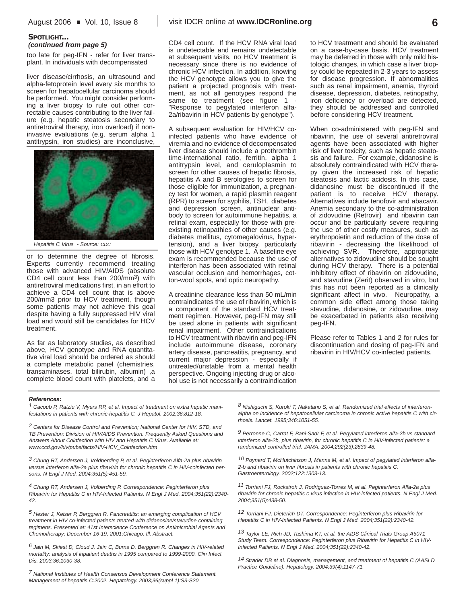too late for peg-IFN - refer for liver transplant. In individuals with decompensated

liver disease/cirrhosis, an ultrasound and alpha-fetoprotein level every six months to screen for hepatocellular carcinoma should be performed. You might consider performing a liver biopsy to rule out other correctable causes contributing to the liver failure (e.g. hepatic steatosis secondary to antiretroviral therapy, iron overload) if noninvasive evaluations (e.g. serum alpha 1 antitrypsin, iron studies) are inconclusive,



*Hepatitis C Virus - Source: CDC*

or to determine the degree of fibrosis. Experts currently recommend treating those with advanced HIV/AIDS (absolute CD4 cell count less than 200/mm3) with antiretroviral medications first, in an effort to achieve a CD4 cell count that is above 200/mm3 prior to HCV treatment, though some patients may not achieve this goal despite having a fully suppressed HIV viral load and would still be candidates for HCV treatment.

As far as laboratory studies, as described above, HCV genotype and RNA quantitative viral load should be ordered as should a complete metabolic panel (chemistries, transaminases, total bilirubin, albumin) ,a complete blood count with platelets, and a CD4 cell count. If the HCV RNA viral load is undetectable and remains undetectable at subsequent visits, no HCV treatment is necessary since there is no evidence of chronic HCV infection. In addition, knowing the HCV genotype allows you to give the patient a projected prognosis with treatment, as not all genotypes respond the same to treatment (see figure 1 -"Response to pegylated interferon alfa-2a/ribavirin in HCV patients by genotype").

A subsequent evaluation for HIV/HCV coinfected patients who have evidence of viremia and no evidence of decompensated liver disease should include a prothrombin time-international ratio, ferritin, alpha 1 antitrypsin level, and ceruloplasmin to screen for other causes of hepatic fibrosis, hepatitis A and B serologies to screen for those eligible for immunization, a pregnancy test for women, a rapid plasmin reagent (RPR) to screen for syphilis, TSH, diabetes and depression screen, antinuclear antibody to screen for autoimmune hepatitis, a retinal exam, especially for those with preexisting retinopathies of other causes (e.g. diabetes mellitus, cytomegalovirus, hypertension), and a liver biopsy, particularly those with HCV genotype 1. A baseline eye exam is recommended because the use of interferon has been associated with retinal vascular occlusion and hemorrhages, cotton-wool spots, and optic neuropathy.

A creatinine clearance less than 50 mL/min contraindicates the use of ribavirin, which is a component of the standard HCV treatment regimen. However, peg-IFN may still be used alone in patients with significant renal impairment. Other contraindications to HCV treatment with ribavirin and peg-IFN include autoimmune disease, coronary artery disease, pancreatitis, pregnancy, and current major depression - especially if untreated/unstable from a mental health perspective. Ongoing injecting drug or alcohol use is not necessarily a contraindication to HCV treatment and should be evaluated on a case-by-case basis. HCV treatment may be deferred in those with only mild histologic changes, in which case a liver biopsy could be repeated in 2-3 years to assess for disease progression. If abnormalities such as renal impairment, anemia, thyroid disease, depression, diabetes, retinopathy, iron deficiency or overload are detected, they should be addressed and controlled before considering HCV treatment.

When co-administered with peg-IFN and ribavirin, the use of several antiretroviral agents have been associated with higher risk of liver toxicity, such as hepatic steatosis and failure. For example, didanosine is absolutely contraindicated with HCV therapy given the increased risk of hepatic steatosis and lactic acidosis. In this case, didanosine must be discontinued if the patient is to receive HCV therapy. Alternatives include tenofovir and abacavir. Anemia secondary to the co-administration of zidovudine (Retrovir) and ribavirin can occur and be particularly severe requiring the use of other costly measures, such as erythropoietin and reduction of the dose of ribavirin - decreasing the likelihood of achieving SVR. Therefore, appropriate alternatives to zidovudine should be sought during HCV therapy. There is a potential inhibitory effect of ribavirin on zidovudine, and stavudine (Zerit) observed in vitro, but this has not been reported as a clinically significant affect in vivo. Neuropathy, a common side effect among those taking stavudine, didanosine, or zidovudine, may be exacerbated in patients also receiving peg-IFN.

Please refer to Tables 1 and 2 for rules for discontinuation and dosing of peg-IFN and ribavirin in HIV/HCV co-infected patients.

### *References:*

*1 Cacoub P, Ratziu V, Myers RP, et al. Impact of treatment on extra hepatic manifestations in patients with chronic-hepatitis C. J Hepatol. 2002;36:812-18.*

*2 Centers for Disease Control and Prevention; National Center for HIV, STD, and TB Prevention; Division of HIV/AIDS Prevention. Frequently Asked Questions and Answers About Coinfection with HIV and Hepatitis C Virus. Available at: www.ccd.gov/hiv/pubs/facts/HIV-HCV\_Coinfection.htm*

*3 Chung RT, Andersen J, Voldberding P, et al. Peginterferon Alfa-2a plus ribavirin versus interferon alfa-2a plus ribavirin for chronic hepatitis C in HIV-coinfected persons. N Engl J Med. 2004;351(5):451-59.*

*4 Chung RT, Andersen J, Volberding P. Correspondence: Peginterferon plus Ribavirin for Hepatitis C in HIV-Infected Patients. N Engl J Med. 2004;351(22):2340- 42.* 

*5 Hester J, Keiser P, Berggren R. Pancreatitis: an emerging complication of HCV treatment in HIV co-infected patients treated with didanosine/stavudine containing regimens. Presented at: 41st Interscience Conference on Antimicrobial Agents and Chemotherapy; December 16-19, 2001;Chicago, Ill. Abstract.*

*6 Jain M, Skiest D, Cloud J, Jain C, Burns D, Berggren R. Changes in HIV-related mortality: analysis of inpatient deaths in 1995 compared to 1999-2000. Clin Infect Dis. 2003;36:1030-38.* 

*7 National Institutes of Health Consensus Development Conference Statement. Management of hepatitis C:2002. Hepatology. 2003;36(suppl 1):S3-S20.*

*8 Nishiguchi S, Kuroki T, Nakatano S, et al. Randomized trial effects of interferonalpha on incidence of hepatocellular carcinoma in chronic active hepatitis C with cirrhosis. Lancet. 1995;346:1051-55.*

*9 Perronne C, Carrat F, Bani-Sadr F, et al. Pegylated interferon alfa-2b vs standard interferon alfa-2b, plus ribavirin, for chronic hepatitis C in HIV-infected patients: a randomized controlled trial. JAMA. 2004;292(23):2839-48.* 

*10 Poynard T, McHutchinson J, Manns M, et al. Impact of pegylated interferon alfa-2-b and ribavirin on liver fibrosis in patients with chronic hepatitis C. Gastroenterology. 2002;122:1303-13.*

*11 Torriani FJ, Rockstroh J, Rodriguez-Torres M, et al. Peginterferon Alfa-2a plus ribavirin for chronic hepatitis c virus infection in HIV-infected patients. N Engl J Med. 2004;351(5):438-50.*

*12 Torriani FJ, Dieterich DT. Correspondence: Peginterferon plus Ribavirin for Hepatitis C in HIV-Infected Patients. N Engl J Med. 2004;351(22):2340-42.* 

*13 Taylor LE, Rich JD, Tashima KT, et al. the AIDS Clinical Trials Group A5071 Study Team. Correspondence: Peginterferon plus Ribavirin for Hepatitis C in HIV-Infected Patients. N Engl J Med. 2004;351(22):2340-42.* 

*14 Strader DB et al. Diagnosis, management, and treatment of hepatitis C (AASLD Practice Guideline). Hepatology. 2004;39(4):1147-71.*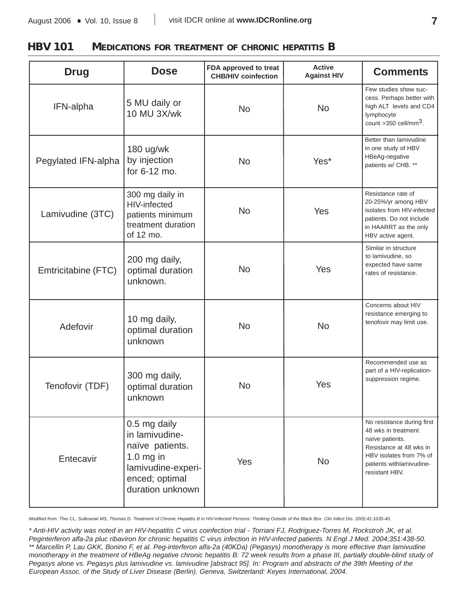**HBV 101 MEDICATIONS FOR TREATMENT OF CHRONIC HEPATITIS B** 

| <b>Drug</b>         | <b>Dose</b>                                                                                                                  | FDA approved to treat<br><b>CHB/HIV coinfection</b> | <b>Active</b><br><b>Against HIV</b> | <b>Comments</b>                                                                                                                                                          |
|---------------------|------------------------------------------------------------------------------------------------------------------------------|-----------------------------------------------------|-------------------------------------|--------------------------------------------------------------------------------------------------------------------------------------------------------------------------|
| IFN-alpha           | 5 MU daily or<br>10 MU 3X/wk                                                                                                 | <b>No</b>                                           | <b>No</b>                           | Few studies show suc-<br>cess. Perhaps better with<br>high ALT levels and CD4<br>lymphocyte<br>count $>350$ cell/mm <sup>3</sup> .                                       |
| Pegylated IFN-alpha | 180 ug/wk<br>by injection<br>for 6-12 mo.                                                                                    | <b>No</b>                                           | Yes*                                | Better than lamivudine<br>in one study of HBV<br>HBeAg-negative<br>patients w/ CHB. **                                                                                   |
| Lamivudine (3TC)    | 300 mg daily in<br><b>HIV-infected</b><br>patients minimum<br>treatment duration<br>of 12 mo.                                | <b>No</b>                                           | Yes                                 | Resistance rate of<br>20-25%/yr among HBV<br>isolates from HIV-infected<br>patients. Do not include<br>in HAARRT as the only<br>HBV active agent.                        |
| Emtricitabine (FTC) | 200 mg daily,<br>optimal duration<br>unknown.                                                                                | <b>No</b>                                           | Yes                                 | Similar in structure<br>to lamivudine, so<br>expected have same<br>rates of resistance.                                                                                  |
| Adefovir            | 10 mg daily,<br>optimal duration<br>unknown                                                                                  | <b>No</b>                                           | <b>No</b>                           | Concerns about HIV<br>resistance emerging to<br>tenofovir may limit use.                                                                                                 |
| Tenofovir (TDF)     | 300 mg daily,<br>optimal duration<br>unknown                                                                                 | No                                                  | Yes                                 | Recommended use as<br>part of a HIV-replication-<br>suppression regime.                                                                                                  |
| Entecavir           | 0.5 mg daily<br>in lamivudine-<br>naïve patients.<br>$1.0$ mg in<br>lamivudine-experi-<br>enced; optimal<br>duration unknown | Yes                                                 | <b>No</b>                           | No resistance during first<br>48 wks in treatment<br>naïve patients.<br>Resistance at 48 wks in<br>HBV isolates from 7% of<br>patients withlamivudine-<br>resistant HBV. |

*Modified from: Thio CL, Sulkowski MS, Thomas D. Treatment of Chronic Hepatitis B in HIV-Infected Persons: Thinking Outside of the Black Box. Clin Infect Dis. 2005;41:1035-40.* 

*\* Anti-HIV activity was noted in an HIV-hepatitis C virus coinfection trial - Torriani FJ, Rodriguez-Torres M, Rockstroh JK, et al. Peginterferon alfa-2a pluc ribaviron for chronic hepatitis C virus infection in HIV-infected patients. N Engl J Med. 2004;351:438-50. \*\* Marcellin P, Lau GKK, Bonino F, et al. Peg-interferon alfa-2a (40KDa) (Pegasys) monotherapy is more effective than lamivudine monotherapy in the treatment of HBeAg negative chronic hepatitis B: 72 week results from a phase III, partially double-blind study of Pegasys alone vs. Pegasys plus lamivudine vs. lamivudine [abstract 95]. In: Program and abstracts of the 39th Meeting of the European Assoc. of the Study of Liver Disease (Berlin). Geneva, Switzerland: Keyes International, 2004.*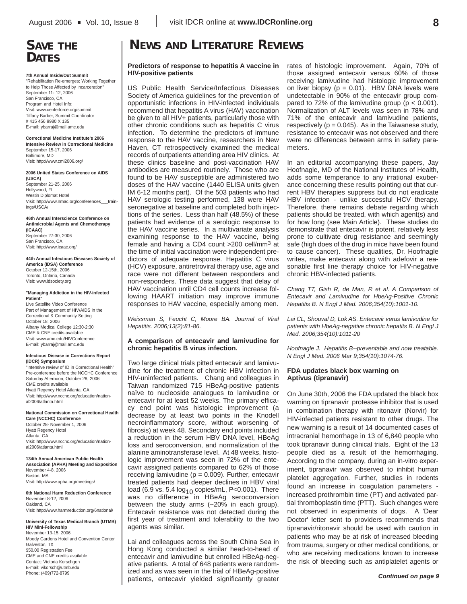# **SAVE THE DATES**

**7th Annual Inside/Out Summit**

"Rehabilitation Re-emerges: Working Together to Help Those Affected by Incarceration" September 11- 12, 2006 San Francisco, CA Program and Hotel Info: Visit: www.centerforce.org/summit Tiffany Barber, Summit Coordinator # 415 456 9980 X 135 E-mail: ybarraj@mail.amc.edu

**Correctional Medicine Institute's 2006 Intensive Review in Correctional Medicine** September 15-17, 2006 Baltimore, MD Visit: http://www.cmi2006.org/

**2006 United States Conference on AIDS**

**(USCA)** September 21-25, 2006 Hollywood, FL Westin Diplomat Hotel Visit: http://www.nmac.org/conferences\_\_\_trainings/USCA/

**46th Annual Interscience Conference on Antimicrobial Agents and Chemotherapy (ICAAC)**

September 27-30, 2006 San Francisco, CA Visit: http://www.icaac.org/

**44th Annual Infectious Diseases Society of America (IDSA) Conference** October 12-15th, 2006 Toronto, Ontario, Canada Visit: www.idsociety.org

#### **"Managing Addiction in the HIV-infected Patient"**

Live Satellite Video Conference Part of Management of HIV/AIDS in the Correctional & Community Setting October 18, 2006 Albany Medical College 12:30-2:30 CME & CNE credits available Visit: www.amc.edu/HIVConference E-mail: ybarraj@mail.amc.edu

#### **Infectious Disease in Corrections Report (IDCR) Symposium**

"Intensive review of ID in Correctional Health" Pre-conference before the NCCHC Conference Saturday Afternoon, October 28, 2006 CME credits available Hyatt Regency Hotel Atlanta, GA Visit: http://www.ncchc.org/education/national2006/atlanta.html

#### **National Commission on Correctional Health Care (NCCHC) Conference**

October 28- November 1, 2006 Hyatt Regency Hotel Atlanta, GA Visit: http://www.ncchc.org/education/national2006/atlanta.html

**134th Annual American Public Health Association (APHA) Meeting and Exposition**  November 4-8, 2006 Boston, MA Visit: http://www.apha.org/meetings/

**6th National Harm Reduction Conference** November 8-12, 2006 Oakland, CA Visit: http://www.harmreduction.org/6national/

**University of Texas Medical Branch (UTMB) HIV Mini-Fellowship** November 13-15, 2006 Moody Gardens Hotel and Convention Center Galveston, TX \$50.00 Registration Fee CME and CNE credits available Contact: Victoria Korschgen E-mail: vikorsch@utmb.edu Phone: (409)772-8799

# **NEWS AND LITERATURE REVIEWS**

### **Predictors of response to hepatitis A vaccine in HIV-positive patients**

US Public Health Service/Infectious Diseases Society of America guidelines for the prevention of opportunistic infections in HIV-infected individuals recommend that hepatitis A virus (HAV) vaccination be given to all HIV+ patients, particularly those with other chronic conditions such as hepatitis C virus infection. To determine the predictors of immune response to the HAV vaccine, researchers in New Haven, CT retrospectively examined the medical records of outpatients attending area HIV clinics. At these clinics baseline and post-vaccination HAV antibodies are measured routinely. Those who are found to be HAV susceptible are administered two doses of the HAV vaccine (1440 ELISA units given IM 6-12 months part). Of the 503 patients who had HAV serologic testing performed, 138 were HAV seronegative at baseline and completed both injections of the series. Less than half (48.5%) of these patients had evidence of a serologic response to the HAV vaccine series. In a multivariate analysis examining response to the HAV vaccine, being female and having a CD4 count >200 cell/mm3 at the time of initial vaccination were independent predictors of adequate response. Hepatitis C virus (HCV) exposure, antiretroviral therapy use, age and race were not different between responders and non-responders. These data suggest that delay of HAV vaccination until CD4 cell counts increase following HAART initiation may improve immune responses to HAV vaccine, especially among men.

*Weissman S, Feucht C, Moore BA. Journal of Viral Hepatitis. 2006;13(2):81-86.* 

### **A comparison of entecavir and lamivudine for chronic hepatitis B virus infection.**

Two large clinical trials pitted entecavir and lamivudine for the treatment of chronic HBV infection in HIV-uninfected patients. Chang and colleagues in Taiwan randomized 715 HBeAg-positive patients naïve to nucleoside analogues to lamivudine or entecavir for at least 52 weeks. The primary efficacy end point was histologic improvement (a decrease by at least two points in the Knodell necroinflammatory score, without worsening of fibrosis) at week 48. Secondary end points included a reduction in the serum HBV DNA level, HBeAg loss and seroconversion, and normalization of the alanine aminotransferase level. At 48 weeks, histologic improvement was seen in 72% of the entecavir assigned patients compared to 62% of those receiving lamivudine ( $p = 0.009$ ). Further, entecavir treated patients had deeper declines in HBV viral load (6.9 vs. 5.4  $log_{10}$  copies/mL, P<0.001). There was no difference in HBeAg seroconversion between the study arms (~20% in each group). Entecavir resistance was not detected during the first year of treatment and tolerability to the two agents was similar.

Lai and colleagues across the South China Sea in Hong Kong conducted a similar head-to-head of entecavir and lamivudine but enrolled HBeAg-negative patients. A total of 648 patients were randomized and as was seen in the trial of HBeAg-positive patients, entecavir yielded significantly greater rates of histologic improvement. Again, 70% of those assigned entecavir versus 60% of those receiving lamivudine had histologic improvement on liver biopsy ( $p = 0.01$ ). HBV DNA levels were undetectable in 90% of the entecavir group compared to 72% of the lamivudine group ( $p < 0.001$ ). Normalization of ALT levels was seen in 78% and 71% of the entecavir and lamivudine patients, respectively ( $p = 0.045$ ). As in the Taiwanese study, resistance to entecavir was not observed and there were no differences between arms in safety parameters.

In an editorial accompanying these papers, Jay Hoofnagle, MD of the National Institutes of Health, adds some temperance to any irrational exuberance concerning these results pointing out that current HBV therapies suppress but do not eradicate HBV infection - unlike successful HCV therapy. Therefore, there remains debate regarding which patients should be treated, with which agent(s) and for how long (see Main Article). These studies do demonstrate that entecavir is potent, relatively less prone to cultivate drug resistance and seemingly safe (high does of the drug in mice have been found to cause cancer). These qualities, Dr. Hoofnagle writes, make entecavir along with adefovir a reasonable first line therapy choice for HIV-negative chronic HBV-infected patients.

*Chang TT, Gish R, de Man, R et al. A Comparison of Entecavir and Lamivudine for HbeAg-Positive Chronic Hepatitis B. N Engl J Med. 2006;354(10):1001-10.* 

*Lai CL, Shouval D, Lok AS. Entecavir verus lamivudine for patients with HbeAg-negative chronic hepatits B. N Engl J Med. 2006;354(10):1011-20*

*Hoofnagle J. Hepatitis B--preventable and now treatable. N Engl J Med. 2006 Mar 9;354(10):1074-76.*

## **FDA updates black box warning on Aptivus (tipranavir)**

On June 30th, 2006 the FDA updated the black box warning on tipranavir protease inhibitor that is used in combination therapy with ritonavir (Norvir) for HIV-infected patients resistant to other drugs. The new warning is a result of 14 documented cases of intracranial hemorrhage in 13 of 6,840 people who took tipranavir during clinical trials. Eight of the 13 people died as a result of the hemorrhaging. According to the company, during an in-vitro experiment, tipranavir was observed to inhibit human platelet aggregation. Further, studies in rodents found an increase in coagulation parameters increased prothrombin time (PT) and activated partial thromboplastin time (PTT). Such changes were not observed in experiments of dogs. A 'Dear Doctor' letter sent to providers recommends that tipranavir/ritonavir should be used with caution in patients who may be at risk of increased bleeding from trauma, surgery or other medical conditions, or who are receiving medications known to increase the risk of bleeding such as antiplatelet agents or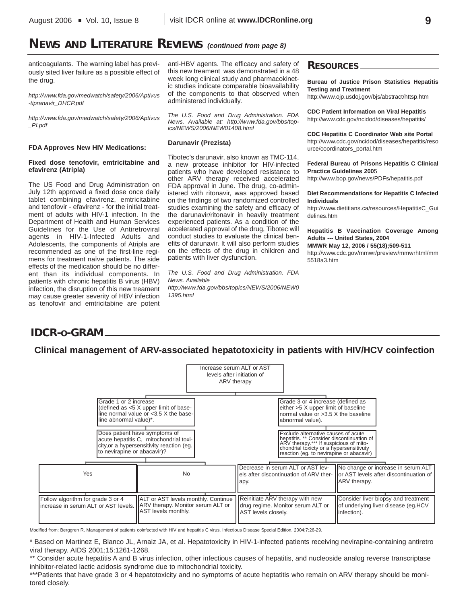# **NEWS AND LITERATURE REVIEWS** *(continued from page 8)*

anticoagulants. The warning label has previously sited liver failure as a possible effect of the drug.

*http://www.fda.gov/medwatch/safety/2006/Aptivus -tipranavir\_DHCP.pdf*

*http://www.fda.gov/medwatch/safety/2006/Aptivus \_PI.pdf*

### **FDA Approves New HIV Medications:**

### **Fixed dose tenofovir, emtricitabine and efavirenz (Atripla)**

The US Food and Drug Administration on July 12th approved a fixed dose once daily tablet combining efavirenz, emtricitabine and tenofovir - efavirenz - for the initial treatment of adults with HIV-1 infection. In the Department of Health and Human Services Guidelines for the Use of Antiretroviral agents in HIV-1-Infected Adults and Adolescents, the components of Atripla are recommended as one of the first-line regimens for treatment naïve patients. The side effects of the medication should be no different than its individual components. In patients with chronic hepatitis B virus (HBV) infection, the disruption of this new treament may cause greater severity of HBV infection as tenofovir and emtricitabine are potent

anti-HBV agents. The efficacy and safety of this new treament was demonstrated in a 48 week long clinical study and pharmacokinetic studies indicate comparable bioavailability of the components to that observed when administered individually.

*The U.S. Food and Drug Administration. FDA News. Available at: http://www.fda.gov/bbs/topics/NEWS/2006/NEW01408.html*

## **Darunavir (Prezista)**

Tibotec's darunavir, also known as TMC-114, a new protease inhibitor for HIV-infected patients who have developed resistance to other ARV therapy received accelerated FDA approval in June. The drug, co-administered with ritonavir, was approved based on the findings of two randomized controlled studies examining the safety and efficacy of the darunavir/ritonavir in heavily treatment experienced patients. As a condition of the accelerated approval of the drug, Tibotec will conduct studies to evaluate the clinical benefits of darunavir. It will also perform studies on the effects of the drug in children and patients with liver dysfunction.

*The U.S. Food and Drug Administration. FDA News. Available http://www.fda.gov/bbs/topics/NEWS/2006/NEW0 1395.html*

## **RESOURCES**

**Bureau of Justice Prison Statistics Hepatitis Testing and Treatment**

http://www.ojp.usdoj.gov/bjs/abstract/httsp.htm

**CDC Patient Information on Viral Hepatitis** http://www.cdc.gov/ncidod/diseases/hepatitis/

**CDC Hepatitis C Coordinator Web site Portal** http://www.cdc.gov/ncidod/diseases/hepatitis/reso urce/coordinators\_portal.htm

**Federal Bureau of Prisons Hepatitis C Clinical Practice Guidelines 200**5

http://www.bop.gov/news/PDFs/hepatitis.pdf

### **Diet Recommendations for Hepatitis C Infected Individuals**

http://www.dietitians.ca/resources/HepatitisC\_Gui delines.htm

**Hepatitis B Vaccination Coverage Among Adults --- United States, 2004**

**MMWR May 12, 2006 / 55(18);509-511** http://www.cdc.gov/mmwr/preview/mmwrhtml/mm 5518a3.htm

# **IDCR-O-GRAM**

**Clinical management of ARV-associated hepatotoxicity in patients with HIV/HCV coinfection**

|                                                                                    |                                                                                                                      | Increase serum ALT or AST<br>levels after initiation of<br>ARV therapy                                                                                                                                            |                                                                                                                                                   |
|------------------------------------------------------------------------------------|----------------------------------------------------------------------------------------------------------------------|-------------------------------------------------------------------------------------------------------------------------------------------------------------------------------------------------------------------|---------------------------------------------------------------------------------------------------------------------------------------------------|
| Grade 1 or 2 increase<br>line abnormal value)*.                                    | (defined as <5 X upper limit of base-<br>line normal value or $<$ 3.5 X the base-                                    | Grade 3 or 4 increase (defined as<br>either >5 X upper limit of baseline<br>Inormal value or $>3.5$ X the baseline<br>abnormal value).                                                                            |                                                                                                                                                   |
| to nevirapine or abacavir)?                                                        | Does patient have symptoms of<br>acute hepatitis C, mitochondrial toxi-<br>city, or a hypersensitivity reaction (eq. | Exclude alternative causes of acute<br>hepatitis. ** Consider discontinuation of<br>ARV therapy.*** If suspicious of mito-<br>chondrial toxicty or a hypersensitivity<br>reaction (eg. to nevirapine or abacavir) |                                                                                                                                                   |
| Yes                                                                                | <b>No</b>                                                                                                            | Decrease in serum ALT or AST lev-<br>apy.                                                                                                                                                                         | No change or increase in serum ALT<br>$\,$ lels after discontinuation of ARV ther- $\,$ II or AST levels after discontinuation of<br>ARV therapy. |
| Follow algorithm for grade 3 or 4<br>increase in serum ALT or AST levels. <b>I</b> | ALT or AST levels monthly. Continue<br>ARV therapy. Monitor serum ALT or<br>AST levels monthly.                      | Reinitiate ARV therapy with new<br>drug regime. Monitor serum ALT or<br>AST levels closely.                                                                                                                       | Consider liver biopsy and treatment<br>of underlying liver disease (eg.HCV<br>infection).                                                         |

Modified from: Berggren R. Management of patients coinfected with HIV and hepatitis C virus. Infectious Disease Special Edition. 2004;7:26-29.

\* Based on Martinez E, Blanco JL, Arnaiz JA, et al. Hepatotoxicity in HIV-1-infected patients receiving nevirapine-containing antiretro viral therapy. AIDS 2001;15:1261-1268.

\*\* Consider acute hepatitis A and B virus infection, other infectious causes of hepatitis, and nucleoside analog reverse transcriptase inhibitor-related lactic acidosis syndrome due to mitochondrial toxicity.

\*\*\*Patients that have grade 3 or 4 hepatotoxicity and no symptoms of acute heptatitis who remain on ARV therapy should be monitored closely.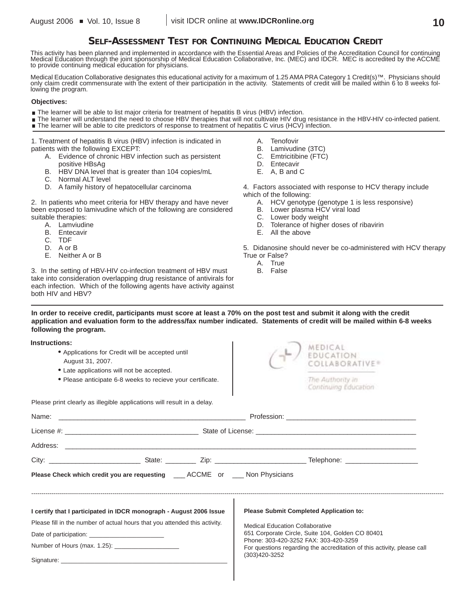# **SELF-ASSESSMENT TEST FOR CONTINUING MEDICAL EDUCATION CREDIT**

This activity has been planned and implemented in accordance with the Essential Areas and Policies of the Accreditation Council for continuing<br>Medical Education through the joint sponsorship of Medical Education Collaborat to provide continuing medical education for physicians.

Medical Education Collaborative designates this educational activity for a maximum of 1.25 AMA PRA Category 1 Credit(s)™. Physicians should only claim credit commensurate with the extent of their participation in the activity. Statements of credit will be mailed within 6 to 8 weeks following the program.

### **Objectives:**

- The learner will be able to list major criteria for treatment of hepatitis B virus (HBV) infection.
- The learner will understand the need to choose HBV therapies that will not cultivate HIV drug resistance in the HBV-HIV co-infected patient. The learner will be able to cite predictors of response to treatment of hepatitis C virus (HCV) infection.

1. Treatment of hepatitis B virus (HBV) infection is indicated in patients with the following EXCEPT:

- A. Evidence of chronic HBV infection such as persistent positive HBsAg
- B. HBV DNA level that is greater than 104 copies/mL
- C. Normal ALT level
- D. A family history of hepatocellular carcinoma

2. In patients who meet criteria for HBV therapy and have never been exposed to lamivudine which of the following are considered suitable therapies:

- A. Lamviudine
- B. Entecavir
- C. TDF
- D. A or B

**Instructions:**

E. Neither A or B

3. In the setting of HBV-HIV co-infection treatment of HBV must take into consideration overlapping drug resistance of antivirals for each infection. Which of the following agents have activity against both HIV and HBV?

- A. Tenofovir
- B. Lamivudine (3TC)
- C. Emtricitibine (FTC)
- D. Entecavir
- E. A, B and C

4. Factors associated with response to HCV therapy include which of the following:

- A. HCV genotype (genotype 1 is less responsive)
- B. Lower plasma HCV viral load
- C. Lower body weight
- D. Tolerance of higher doses of ribavirin
- E. All the above

5. Didanosine should never be co-administered with HCV therapy True or False?

- A. True
- B. False

**In order to receive credit, participants must score at least a 70% on the post test and submit it along with the credit application and evaluation form to the address/fax number indicated. Statements of credit will be mailed within 6-8 weeks following the program.**

| IIISU UUUOIIS.<br>• Applications for Credit will be accepted until<br>August 31, 2007.<br>• Late applications will not be accepted.<br>• Please anticipate 6-8 weeks to recieve your certificate. | MEDICAL<br>EDUCATION<br>COLLABORATIVE®<br>The Authority in<br>Continuing Education        |  |  |  |
|---------------------------------------------------------------------------------------------------------------------------------------------------------------------------------------------------|-------------------------------------------------------------------------------------------|--|--|--|
| Please print clearly as illegible applications will result in a delay.                                                                                                                            |                                                                                           |  |  |  |
| Name:                                                                                                                                                                                             |                                                                                           |  |  |  |
|                                                                                                                                                                                                   |                                                                                           |  |  |  |
|                                                                                                                                                                                                   |                                                                                           |  |  |  |
|                                                                                                                                                                                                   |                                                                                           |  |  |  |
| <b>Please Check which credit you are requesting ____ ACCME or ___ Non Physicians</b>                                                                                                              |                                                                                           |  |  |  |
| I certify that I participated in IDCR monograph - August 2006 Issue                                                                                                                               | <b>Please Submit Completed Application to:</b>                                            |  |  |  |
| Please fill in the number of actual hours that you attended this activity.                                                                                                                        | <b>Medical Education Collaborative</b>                                                    |  |  |  |
|                                                                                                                                                                                                   | 651 Corporate Circle, Suite 104, Golden CO 80401<br>Phone: 303-420-3252 FAX: 303-420-3259 |  |  |  |
| For questions regarding the accreditation of this activity, please call                                                                                                                           |                                                                                           |  |  |  |
|                                                                                                                                                                                                   | (303)420-3252                                                                             |  |  |  |